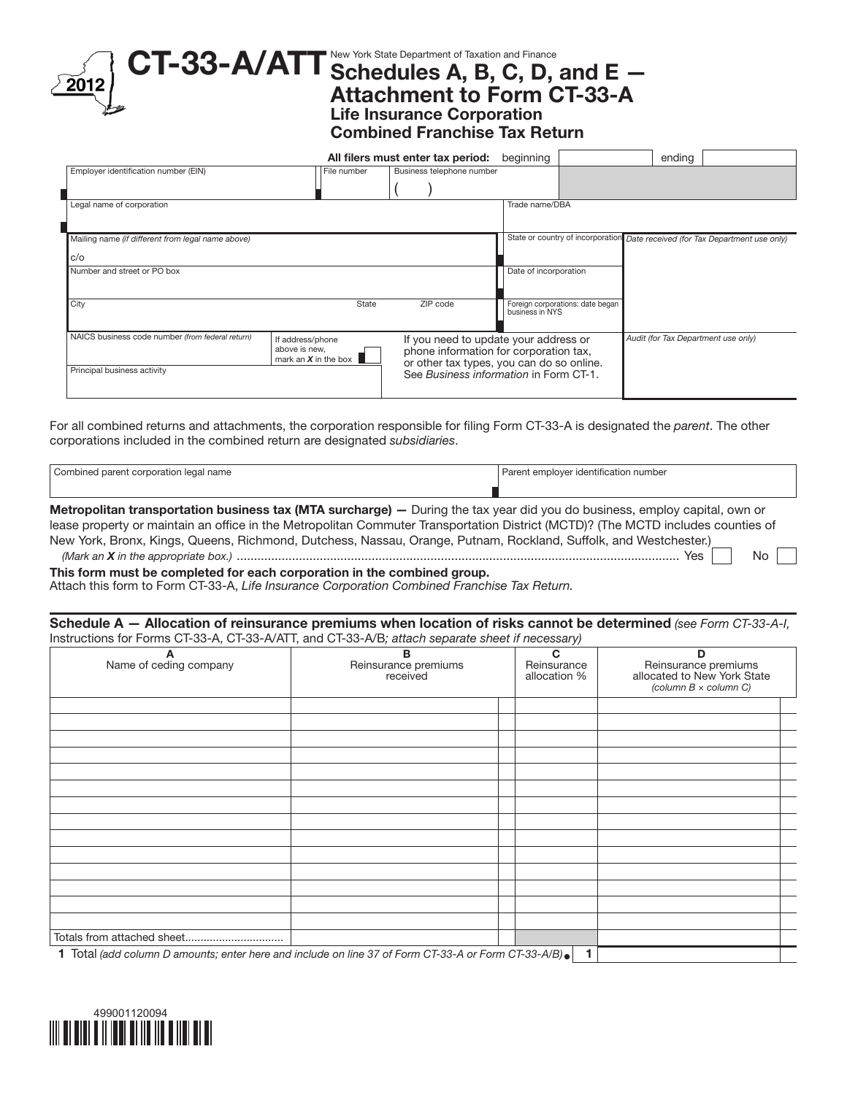| $CT-33- A/ATT$ Schedules A, B, C, D, and $E -$<br>2012                          |                                                                         | <b>Attachment to Form CT-33-A</b><br><b>Life Insurance Corporation</b><br><b>Combined Franchise Tax Return</b>                                                         |                       |                                  |                                     |                                                                               |
|---------------------------------------------------------------------------------|-------------------------------------------------------------------------|------------------------------------------------------------------------------------------------------------------------------------------------------------------------|-----------------------|----------------------------------|-------------------------------------|-------------------------------------------------------------------------------|
|                                                                                 |                                                                         | All filers must enter tax period:                                                                                                                                      | beginning             |                                  | ending                              |                                                                               |
| Employer identification number (EIN)                                            | File number                                                             | Business telephone number                                                                                                                                              |                       |                                  |                                     |                                                                               |
| Legal name of corporation<br>Mailing name (if different from legal name above)  |                                                                         |                                                                                                                                                                        | Trade name/DBA        |                                  |                                     | State or country of incorporation Date received (for Tax Department use only) |
| c/o                                                                             |                                                                         |                                                                                                                                                                        |                       |                                  |                                     |                                                                               |
| Number and street or PO box                                                     |                                                                         |                                                                                                                                                                        | Date of incorporation |                                  |                                     |                                                                               |
| City                                                                            | State                                                                   | ZIP code                                                                                                                                                               | business in NYS       | Foreign corporations: date began |                                     |                                                                               |
| NAICS business code number (from federal return)<br>Principal business activity | If address/phone<br>above is new,<br>mark an $X$ in the box $\parallel$ | If you need to update your address or<br>phone information for corporation tax,<br>or other tax types, you can do so online.<br>See Business information in Form CT-1. |                       |                                  | Audit (for Tax Department use only) |                                                                               |

For all combined returns and attachments, the corporation responsible for filing Form CT-33-A is designated the *parent*. The other corporations included in the combined return are designated *subsidiaries*.

| Combined parent corporation legal name                                                                                            | Parent employer identification number |  |  |  |
|-----------------------------------------------------------------------------------------------------------------------------------|---------------------------------------|--|--|--|
|                                                                                                                                   |                                       |  |  |  |
| <b>Metropolitan transportation business tax (MTA surcharge)</b> — During the tax year did you do business, employ capital, own or |                                       |  |  |  |
| lease property or maintain an office in the Metropolitan Commuter Transportation District (MCTD)? (The MCTD includes counties of  |                                       |  |  |  |
| New York, Bronx, Kings, Queens, Richmond, Dutchess, Nassau, Orange, Putnam, Rockland, Suffolk, and Westchester.)                  |                                       |  |  |  |
|                                                                                                                                   | No.<br>Yes                            |  |  |  |
| This former accept the required start former at the composition to the constitute of magnetic                                     |                                       |  |  |  |

This form must be completed for each corporation in the combined group. Attach this form to Form CT-33-A, *Life Insurance Corporation Combined Franchise Tax Return.*

Schedule A — Allocation of reinsurance premiums when location of risks cannot be determined *(see Form CT-33-A-I,*  Instructions for Forms CT-33-A, CT-33-A/ATT, and CT-33-A/B*; attach separate sheet if necessary)*

| в<br>Name of ceding company<br>Reinsurance premiums<br>received                                       |  | . .<br>C<br>Reinsurance<br>allocation % | D<br>Reinsurance premiums<br>allocated to New York State<br>(column $B \times$ column C) |
|-------------------------------------------------------------------------------------------------------|--|-----------------------------------------|------------------------------------------------------------------------------------------|
|                                                                                                       |  |                                         |                                                                                          |
|                                                                                                       |  |                                         |                                                                                          |
|                                                                                                       |  |                                         |                                                                                          |
|                                                                                                       |  |                                         |                                                                                          |
|                                                                                                       |  |                                         |                                                                                          |
|                                                                                                       |  |                                         |                                                                                          |
|                                                                                                       |  |                                         |                                                                                          |
|                                                                                                       |  |                                         |                                                                                          |
|                                                                                                       |  |                                         |                                                                                          |
|                                                                                                       |  |                                         |                                                                                          |
|                                                                                                       |  |                                         |                                                                                          |
|                                                                                                       |  |                                         |                                                                                          |
|                                                                                                       |  |                                         |                                                                                          |
|                                                                                                       |  |                                         |                                                                                          |
| Totals from attached sheet                                                                            |  |                                         |                                                                                          |
| 1 Total (add column D amounts; enter here and include on line 37 of Form CT-33-A or Form CT-33-A/B) . |  |                                         |                                                                                          |

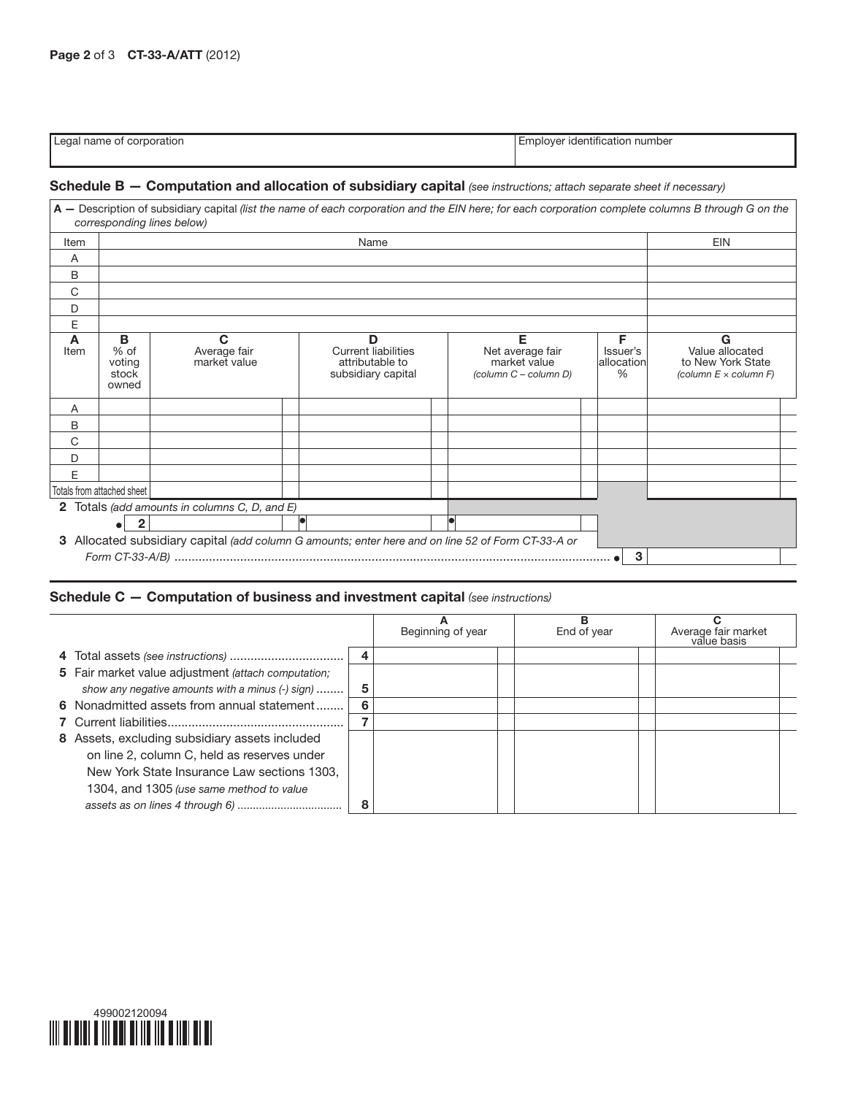| ll enal<br>pration<br>.<br>. | <br>∩umber<br>™ ⊓⊓⊓r<br>⊟ ∨e<br>1 H<br>. |
|------------------------------|------------------------------------------|

## Schedule B - Computation and allocation of subsidiary capital *(see instructions; attach separate sheet if necessary)*

|           |                                         | corresponding lines below)                                                                         |                                                                          | A - Description of subsidiary capital (list the name of each corporation and the EIN here; for each corporation complete columns B through G on the |                                      |                                                                           |
|-----------|-----------------------------------------|----------------------------------------------------------------------------------------------------|--------------------------------------------------------------------------|-----------------------------------------------------------------------------------------------------------------------------------------------------|--------------------------------------|---------------------------------------------------------------------------|
| Item      |                                         |                                                                                                    |                                                                          | <b>EIN</b>                                                                                                                                          |                                      |                                                                           |
| Α         |                                         |                                                                                                    |                                                                          |                                                                                                                                                     |                                      |                                                                           |
| B         |                                         |                                                                                                    |                                                                          |                                                                                                                                                     |                                      |                                                                           |
| C         |                                         |                                                                                                    |                                                                          |                                                                                                                                                     |                                      |                                                                           |
| D         |                                         |                                                                                                    |                                                                          |                                                                                                                                                     |                                      |                                                                           |
| E         |                                         |                                                                                                    |                                                                          |                                                                                                                                                     |                                      |                                                                           |
| A<br>Item | B<br>$%$ of<br>voting<br>stock<br>owned | С<br>Average fair<br>market value                                                                  | D<br><b>Current liabilities</b><br>attributable to<br>subsidiary capital | Е<br>Net average fair<br>market value<br>(column C - column D)                                                                                      | F<br>Issuer's<br>lallocation<br>$\%$ | G<br>Value allocated<br>to New York State<br>(column $E \times$ column F) |
| Α         |                                         |                                                                                                    |                                                                          |                                                                                                                                                     |                                      |                                                                           |
| B         |                                         |                                                                                                    |                                                                          |                                                                                                                                                     |                                      |                                                                           |
| C         |                                         |                                                                                                    |                                                                          |                                                                                                                                                     |                                      |                                                                           |
| D         |                                         |                                                                                                    |                                                                          |                                                                                                                                                     |                                      |                                                                           |
| E         |                                         |                                                                                                    |                                                                          |                                                                                                                                                     |                                      |                                                                           |
|           | Totals from attached sheet              |                                                                                                    |                                                                          |                                                                                                                                                     |                                      |                                                                           |
| 2         |                                         | Totals (add amounts in columns C, D, and E)                                                        |                                                                          |                                                                                                                                                     |                                      |                                                                           |
|           | $\mathbf{2}$<br>$\bullet$               |                                                                                                    |                                                                          |                                                                                                                                                     |                                      |                                                                           |
|           |                                         | 3 Allocated subsidiary capital (add column G amounts; enter here and on line 52 of Form CT-33-A or |                                                                          |                                                                                                                                                     |                                      |                                                                           |
|           |                                         |                                                                                                    |                                                                          |                                                                                                                                                     | 3                                    |                                                                           |

## Schedule C — Computation of business and investment capital *(see instructions)*

|                                                     |   | Beginning of year | в<br>End of year | Average fair market<br>value basis |
|-----------------------------------------------------|---|-------------------|------------------|------------------------------------|
|                                                     | 4 |                   |                  |                                    |
| 5 Fair market value adjustment (attach computation; |   |                   |                  |                                    |
| show any negative amounts with a minus (-) sign)    | 5 |                   |                  |                                    |
| 6 Nonadmitted assets from annual statement          | 6 |                   |                  |                                    |
|                                                     |   |                   |                  |                                    |
| 8 Assets, excluding subsidiary assets included      |   |                   |                  |                                    |
| on line 2, column C, held as reserves under         |   |                   |                  |                                    |
| New York State Insurance Law sections 1303,         |   |                   |                  |                                    |
| 1304, and 1305 (use same method to value            |   |                   |                  |                                    |
|                                                     | 8 |                   |                  |                                    |